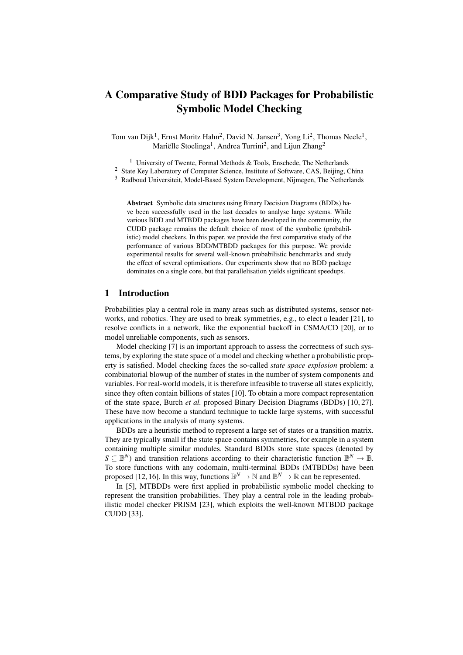# A Comparative Study of BDD Packages for Probabilistic Symbolic Model Checking

Tom van Dijk<sup>1</sup>, Ernst Moritz Hahn<sup>2</sup>, David N. Jansen<sup>3</sup>, Yong Li<sup>2</sup>, Thomas Neele<sup>1</sup>, Mariëlle Stoelinga<sup>1</sup>, Andrea Turrini<sup>2</sup>, and Lijun Zhang<sup>2</sup>

<sup>1</sup> University of Twente, Formal Methods & Tools, Enschede, The Netherlands

<sup>2</sup> State Key Laboratory of Computer Science, Institute of Software, CAS, Beijing, China

<sup>3</sup> Radboud Universiteit, Model-Based System Development, Nijmegen, The Netherlands

Abstract Symbolic data structures using Binary Decision Diagrams (BDDs) have been successfully used in the last decades to analyse large systems. While various BDD and MTBDD packages have been developed in the community, the CUDD package remains the default choice of most of the symbolic (probabilistic) model checkers. In this paper, we provide the first comparative study of the performance of various BDD/MTBDD packages for this purpose. We provide experimental results for several well-known probabilistic benchmarks and study the effect of several optimisations. Our experiments show that no BDD package dominates on a single core, but that parallelisation yields significant speedups.

# 1 Introduction

Probabilities play a central role in many areas such as distributed systems, sensor networks, and robotics. They are used to break symmetries, e.g., to elect a leader [21], to resolve conflicts in a network, like the exponential backoff in CSMA/CD [20], or to model unreliable components, such as sensors.

Model checking [7] is an important approach to assess the correctness of such systems, by exploring the state space of a model and checking whether a probabilistic property is satisfied. Model checking faces the so-called *state space explosion* problem: a combinatorial blowup of the number of states in the number of system components and variables. For real-world models, it is therefore infeasible to traverse all states explicitly, since they often contain billions of states [10]. To obtain a more compact representation of the state space, Burch *et al.* proposed Binary Decision Diagrams (BDDs) [10, 27]. These have now become a standard technique to tackle large systems, with successful applications in the analysis of many systems.

BDDs are a heuristic method to represent a large set of states or a transition matrix. They are typically small if the state space contains symmetries, for example in a system containing multiple similar modules. Standard BDDs store state spaces (denoted by  $S \subseteq \mathbb{B}^N$ ) and transition relations according to their characteristic function  $\mathbb{B}^N \to \mathbb{B}$ . To store functions with any codomain, multi-terminal BDDs (MTBDDs) have been proposed [12, 16]. In this way, functions  $\mathbb{B}^N \to \mathbb{N}$  and  $\mathbb{B}^N \to \mathbb{R}$  can be represented.

In [5], MTBDDs were first applied in probabilistic symbolic model checking to represent the transition probabilities. They play a central role in the leading probabilistic model checker PRISM [23], which exploits the well-known MTBDD package CUDD [33].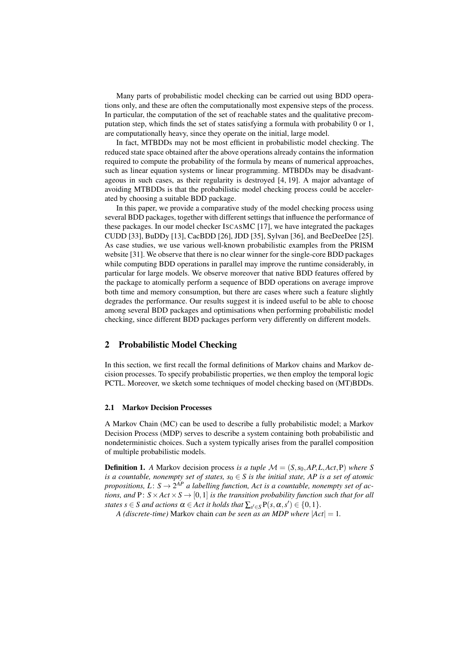Many parts of probabilistic model checking can be carried out using BDD operations only, and these are often the computationally most expensive steps of the process. In particular, the computation of the set of reachable states and the qualitative precomputation step, which finds the set of states satisfying a formula with probability 0 or 1, are computationally heavy, since they operate on the initial, large model.

In fact, MTBDDs may not be most efficient in probabilistic model checking. The reduced state space obtained after the above operations already contains the information required to compute the probability of the formula by means of numerical approaches, such as linear equation systems or linear programming. MTBDDs may be disadvantageous in such cases, as their regularity is destroyed [4, 19]. A major advantage of avoiding MTBDDs is that the probabilistic model checking process could be accelerated by choosing a suitable BDD package.

In this paper, we provide a comparative study of the model checking process using several BDD packages, together with different settings that influence the performance of these packages. In our model checker ISCASMC [17], we have integrated the packages CUDD [33], BuDDy [13], CacBDD [26], JDD [35], Sylvan [36], and BeeDeeDee [25]. As case studies, we use various well-known probabilistic examples from the PRISM website [31]. We observe that there is no clear winner for the single-core BDD packages while computing BDD operations in parallel may improve the runtime considerably, in particular for large models. We observe moreover that native BDD features offered by the package to atomically perform a sequence of BDD operations on average improve both time and memory consumption, but there are cases where such a feature slightly degrades the performance. Our results suggest it is indeed useful to be able to choose among several BDD packages and optimisations when performing probabilistic model checking, since different BDD packages perform very differently on different models.

# 2 Probabilistic Model Checking

In this section, we first recall the formal definitions of Markov chains and Markov decision processes. To specify probabilistic properties, we then employ the temporal logic PCTL. Moreover, we sketch some techniques of model checking based on (MT)BDDs.

## 2.1 Markov Decision Processes

A Markov Chain (MC) can be used to describe a fully probabilistic model; a Markov Decision Process (MDP) serves to describe a system containing both probabilistic and nondeterministic choices. Such a system typically arises from the parallel composition of multiple probabilistic models.

**Definition 1.** A Markov decision process *is a tuple*  $\mathcal{M} = (S, s_0, AP, L, Act, P)$  *where* S *is a countable, nonempty set of states,*  $s_0 \in S$  *is the initial state, AP is a set of atomic propositions, L*:  $S \rightarrow 2^{AP}$  *a labelling function, Act is a countable, nonempty set of actions, and*  $P: S \times Act \times S \rightarrow [0,1]$  *is the transition probability function such that for all states*  $s \in S$  *and actions*  $\alpha \in Act$  *it holds that*  $\sum_{s' \in S} P(s, \alpha, s') \in \{0, 1\}$ *.* 

*A* (*discrete-time*) Markov chain *can be seen as an MDP where*  $|Act| = 1$ *.*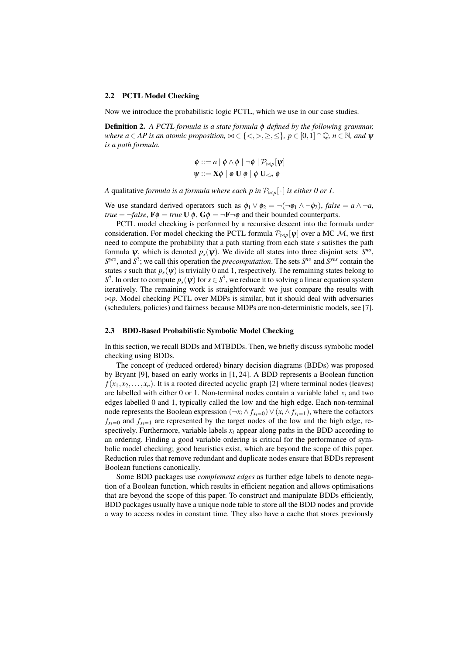### 2.2 PCTL Model Checking

Now we introduce the probabilistic logic PCTL, which we use in our case studies.

Definition 2. *A PCTL formula is a state formula* φ *defined by the following grammar, where a*  $\in$  *AP is an atomic proposition,*  $\bowtie \in \{<,>,\geq,\leq\}$ *, p*  $\in$  [0,1]  $\cap \mathbb{Q}$ *, n*  $\in \mathbb{N}$ *, and*  $\psi$ *is a path formula.*

$$
\begin{aligned}\n\phi &::= a \mid \phi \wedge \phi \mid \neg \phi \mid \mathcal{P}_{\bowtie p}[\psi] \\
\psi &::= \mathbf{X}\phi \mid \phi \mathbf{U} \phi \mid \phi \mathbf{U}_{\leq n} \phi\n\end{aligned}
$$

*A* qualitative *formula is a formula where each p in*  $\mathcal{P}_{\bowtie p}[\cdot]$  *is either 0 or 1.* 

We use standard derived operators such as  $\phi_1 \lor \phi_2 = \neg(\neg \phi_1 \land \neg \phi_2)$ , *false* =  $a \land \neg a$ , *true* =  $\neg$ *false*,  $\mathbf{F}\phi$  = *true* U  $\phi$ ,  $\mathbf{G}\phi$  =  $\neg$ **F** $\neg$  $\phi$  and their bounded counterparts.

PCTL model checking is performed by a recursive descent into the formula under consideration. For model checking the PCTL formula  $\mathcal{P}_{\bowtie p}[\psi]$  over a MC M, we first need to compute the probability that a path starting from each state *s* satisfies the path formula  $\psi$ , which is denoted  $p_s(\psi)$ . We divide all states into three disjoint sets:  $S^{no}$ ,  $S<sup>yes</sup>$ , and  $S<sup>2</sup>$ ; we call this operation the *precomputation*. The sets  $S<sup>no</sup>$  and  $S<sup>yes</sup>$  contain the states *s* such that  $p_s(\psi)$  is trivially 0 and 1, respectively. The remaining states belong to *S*<sup>2</sup>. In order to compute  $p_s(\psi)$  for  $s \in S^2$ , we reduce it to solving a linear equation system iteratively. The remaining work is straightforward: we just compare the results with  $\bowtie$ *p*. Model checking PCTL over MDPs is similar, but it should deal with adversaries (schedulers, policies) and fairness because MDPs are non-deterministic models, see [7].

#### 2.3 BDD-Based Probabilistic Symbolic Model Checking

In this section, we recall BDDs and MTBDDs. Then, we briefly discuss symbolic model checking using BDDs.

The concept of (reduced ordered) binary decision diagrams (BDDs) was proposed by Bryant [9], based on early works in [1, 24]. A BDD represents a Boolean function  $f(x_1, x_2, \ldots, x_n)$ . It is a rooted directed acyclic graph [2] where terminal nodes (leaves) are labelled with either 0 or 1. Non-terminal nodes contain a variable label  $x_i$  and two edges labelled 0 and 1, typically called the low and the high edge. Each non-terminal node represents the Boolean expression  $(\neg x_i \land f_{x_i=0}) \lor (x_i \land f_{x_i=1})$ , where the cofactors  $f_{x_i=0}$  and  $f_{x_i=1}$  are represented by the target nodes of the low and the high edge, respectively. Furthermore, variable labels  $x_i$  appear along paths in the BDD according to an ordering. Finding a good variable ordering is critical for the performance of symbolic model checking; good heuristics exist, which are beyond the scope of this paper. Reduction rules that remove redundant and duplicate nodes ensure that BDDs represent Boolean functions canonically.

Some BDD packages use *complement edges* as further edge labels to denote negation of a Boolean function, which results in efficient negation and allows optimisations that are beyond the scope of this paper. To construct and manipulate BDDs efficiently, BDD packages usually have a unique node table to store all the BDD nodes and provide a way to access nodes in constant time. They also have a cache that stores previously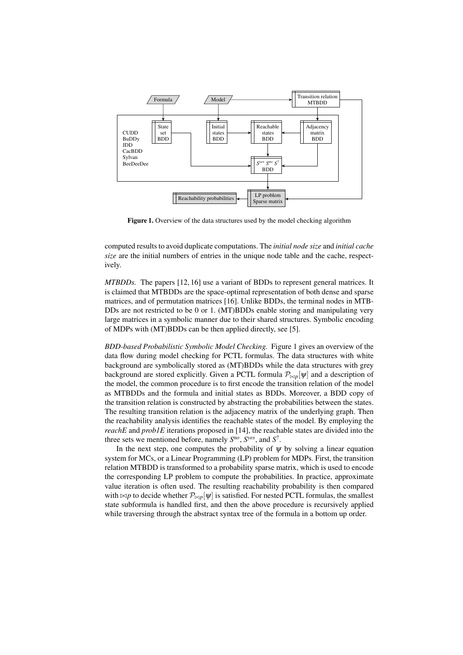

Figure 1. Overview of the data structures used by the model checking algorithm

computed results to avoid duplicate computations. The *initial node size* and *initial cache size* are the initial numbers of entries in the unique node table and the cache, respectively.

*MTBDDs.* The papers [12, 16] use a variant of BDDs to represent general matrices. It is claimed that MTBDDs are the space-optimal representation of both dense and sparse matrices, and of permutation matrices [16]. Unlike BDDs, the terminal nodes in MTB-DDs are not restricted to be 0 or 1. (MT)BDDs enable storing and manipulating very large matrices in a symbolic manner due to their shared structures. Symbolic encoding of MDPs with (MT)BDDs can be then applied directly, see [5].

*BDD-based Probabilistic Symbolic Model Checking.* Figure 1 gives an overview of the data flow during model checking for PCTL formulas. The data structures with white background are symbolically stored as (MT)BDDs while the data structures with grey background are stored explicitly. Given a PCTL formula  $\mathcal{P}_{\bowtie p}[\psi]$  and a description of the model, the common procedure is to first encode the transition relation of the model as MTBDDs and the formula and initial states as BDDs. Moreover, a BDD copy of the transition relation is constructed by abstracting the probabilities between the states. The resulting transition relation is the adjacency matrix of the underlying graph. Then the reachability analysis identifies the reachable states of the model. By employing the *reachE* and *prob1E* iterations proposed in [14], the reachable states are divided into the three sets we mentioned before, namely  $S^{no}$ ,  $S^{yes}$ , and  $S^2$ .

In the next step, one computes the probability of  $\psi$  by solving a linear equation system for MCs, or a Linear Programming (LP) problem for MDPs. First, the transition relation MTBDD is transformed to a probability sparse matrix, which is used to encode the corresponding LP problem to compute the probabilities. In practice, approximate value iteration is often used. The resulting reachability probability is then compared with  $\bowtie p$  to decide whether  $\mathcal{P}_{\bowtie p}[\psi]$  is satisfied. For nested PCTL formulas, the smallest state subformula is handled first, and then the above procedure is recursively applied while traversing through the abstract syntax tree of the formula in a bottom up order.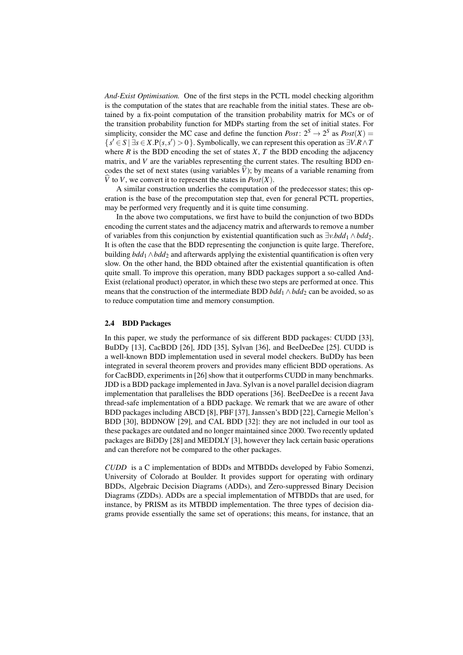*And-Exist Optimisation.* One of the first steps in the PCTL model checking algorithm is the computation of the states that are reachable from the initial states. These are obtained by a fix-point computation of the transition probability matrix for MCs or of the transition probability function for MDPs starting from the set of initial states. For simplicity, consider the MC case and define the function *Post*:  $2^S \rightarrow 2^S$  as  $Post(X) =$  $\{s' \in S \mid \exists s \in X.P(s, s') > 0\}$ . Symbolically, we can represent this operation as  $\exists V.R \land T$ where  $R$  is the BDD encoding the set of states  $X$ ,  $T$  the BDD encoding the adjacency matrix, and *V* are the variables representing the current states. The resulting BDD encodes the set of next states (using variables  $\hat{V}$ ); by means of a variable renaming from  $\widehat{V}$  to *V*, we convert it to represent the states in *Post*(*X*).

A similar construction underlies the computation of the predecessor states; this operation is the base of the precomputation step that, even for general PCTL properties, may be performed very frequently and it is quite time consuming.

In the above two computations, we first have to build the conjunction of two BDDs encoding the current states and the adjacency matrix and afterwards to remove a number of variables from this conjunction by existential quantification such as ∃*v*.*bdd*<sup>1</sup> ∧*bdd*2. It is often the case that the BDD representing the conjunction is quite large. Therefore, building *bdd*1∧*bdd*<sup>2</sup> and afterwards applying the existential quantification is often very slow. On the other hand, the BDD obtained after the existential quantification is often quite small. To improve this operation, many BDD packages support a so-called And-Exist (relational product) operator, in which these two steps are performed at once. This means that the construction of the intermediate BDD  $bdd_1 \wedge bdd_2$  can be avoided, so as to reduce computation time and memory consumption.

## 2.4 BDD Packages

In this paper, we study the performance of six different BDD packages: CUDD [33], BuDDy [13], CacBDD [26], JDD [35], Sylvan [36], and BeeDeeDee [25]. CUDD is a well-known BDD implementation used in several model checkers. BuDDy has been integrated in several theorem provers and provides many efficient BDD operations. As for CacBDD, experiments in [26] show that it outperforms CUDD in many benchmarks. JDD is a BDD package implemented in Java. Sylvan is a novel parallel decision diagram implementation that parallelises the BDD operations [36]. BeeDeeDee is a recent Java thread-safe implementation of a BDD package. We remark that we are aware of other BDD packages including ABCD [8], PBF [37], Janssen's BDD [22], Carnegie Mellon's BDD [30], BDDNOW [29], and CAL BDD [32]: they are not included in our tool as these packages are outdated and no longer maintained since 2000. Two recently updated packages are BiDDy [28] and MEDDLY [3], however they lack certain basic operations and can therefore not be compared to the other packages.

*CUDD* is a C implementation of BDDs and MTBDDs developed by Fabio Somenzi, University of Colorado at Boulder. It provides support for operating with ordinary BDDs, Algebraic Decision Diagrams (ADDs), and Zero-suppressed Binary Decision Diagrams (ZDDs). ADDs are a special implementation of MTBDDs that are used, for instance, by PRISM as its MTBDD implementation. The three types of decision diagrams provide essentially the same set of operations; this means, for instance, that an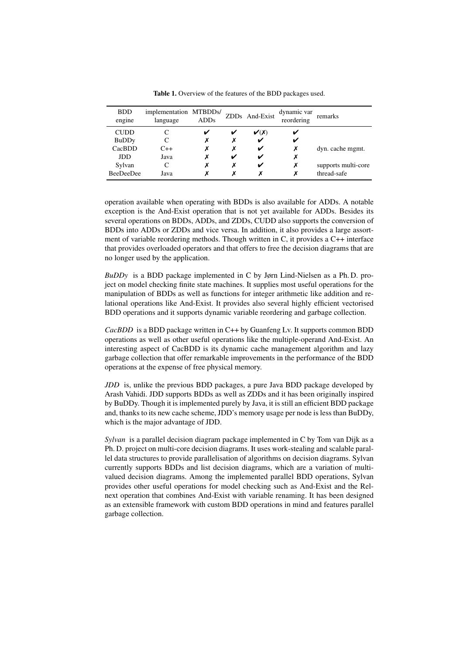| <b>BDD</b><br>engine | implementation MTBDDs/<br>language | <b>ADDs</b> |   | dynamic var<br>ZDDs And-Exist<br>reordering |   | remarks             |  |
|----------------------|------------------------------------|-------------|---|---------------------------------------------|---|---------------------|--|
| <b>CUDD</b>          |                                    | v           | v | $\mathbf{v}(X)$                             |   |                     |  |
| <b>BuDDy</b>         |                                    | х           | х | v                                           | v |                     |  |
| CacBDD               | $C++$                              |             | х | V                                           |   | dyn. cache mgmt.    |  |
| JDD                  | Java                               | Х           | v | v                                           | х |                     |  |
| Sylvan               |                                    | х           | х | v                                           | Х | supports multi-core |  |
| <b>BeeDeeDee</b>     | Java                               | х           |   |                                             |   | thread-safe         |  |

Table 1. Overview of the features of the BDD packages used.

operation available when operating with BDDs is also available for ADDs. A notable exception is the And-Exist operation that is not yet available for ADDs. Besides its several operations on BDDs, ADDs, and ZDDs, CUDD also supports the conversion of BDDs into ADDs or ZDDs and vice versa. In addition, it also provides a large assortment of variable reordering methods. Though written in C, it provides a C++ interface that provides overloaded operators and that offers to free the decision diagrams that are no longer used by the application.

*BuDDy* is a BDD package implemented in C by Jørn Lind-Nielsen as a Ph. D. project on model checking finite state machines. It supplies most useful operations for the manipulation of BDDs as well as functions for integer arithmetic like addition and relational operations like And-Exist. It provides also several highly efficient vectorised BDD operations and it supports dynamic variable reordering and garbage collection.

*CacBDD* is a BDD package written in C++ by Guanfeng Ly. It supports common BDD operations as well as other useful operations like the multiple-operand And-Exist. An interesting aspect of CacBDD is its dynamic cache management algorithm and lazy garbage collection that offer remarkable improvements in the performance of the BDD operations at the expense of free physical memory.

*JDD* is, unlike the previous BDD packages, a pure Java BDD package developed by Arash Vahidi. JDD supports BDDs as well as ZDDs and it has been originally inspired by BuDDy. Though it is implemented purely by Java, it is still an efficient BDD package and, thanks to its new cache scheme, JDD's memory usage per node is less than BuDDy, which is the major advantage of JDD.

*Sylvan* is a parallel decision diagram package implemented in C by Tom van Dijk as a Ph. D. project on multi-core decision diagrams. It uses work-stealing and scalable parallel data structures to provide parallelisation of algorithms on decision diagrams. Sylvan currently supports BDDs and list decision diagrams, which are a variation of multivalued decision diagrams. Among the implemented parallel BDD operations, Sylvan provides other useful operations for model checking such as And-Exist and the Relnext operation that combines And-Exist with variable renaming. It has been designed as an extensible framework with custom BDD operations in mind and features parallel garbage collection.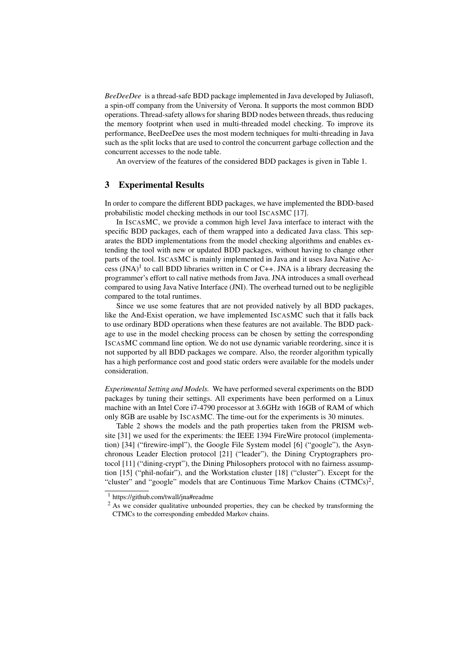*BeeDeeDee* is a thread-safe BDD package implemented in Java developed by Juliasoft, a spin-off company from the University of Verona. It supports the most common BDD operations. Thread-safety allows for sharing BDD nodes between threads, thus reducing the memory footprint when used in multi-threaded model checking. To improve its performance, BeeDeeDee uses the most modern techniques for multi-threading in Java such as the split locks that are used to control the concurrent garbage collection and the concurrent accesses to the node table.

An overview of the features of the considered BDD packages is given in Table 1.

## 3 Experimental Results

In order to compare the different BDD packages, we have implemented the BDD-based probabilistic model checking methods in our tool ISCASMC [17].

In ISCASMC, we provide a common high level Java interface to interact with the specific BDD packages, each of them wrapped into a dedicated Java class. This separates the BDD implementations from the model checking algorithms and enables extending the tool with new or updated BDD packages, without having to change other parts of the tool. ISCASMC is mainly implemented in Java and it uses Java Native Access  $( JNA)^1$  to call BDD libraries written in C or C++. JNA is a library decreasing the programmer's effort to call native methods from Java. JNA introduces a small overhead compared to using Java Native Interface (JNI). The overhead turned out to be negligible compared to the total runtimes.

Since we use some features that are not provided natively by all BDD packages, like the And-Exist operation, we have implemented ISCASMC such that it falls back to use ordinary BDD operations when these features are not available. The BDD package to use in the model checking process can be chosen by setting the corresponding ISCASMC command line option. We do not use dynamic variable reordering, since it is not supported by all BDD packages we compare. Also, the reorder algorithm typically has a high performance cost and good static orders were available for the models under consideration.

*Experimental Setting and Models.* We have performed several experiments on the BDD packages by tuning their settings. All experiments have been performed on a Linux machine with an Intel Core i7-4790 processor at 3.6GHz with 16GB of RAM of which only 8GB are usable by ISCASMC. The time-out for the experiments is 30 minutes.

Table 2 shows the models and the path properties taken from the PRISM website [31] we used for the experiments: the IEEE 1394 FireWire protocol (implementation) [34] ("firewire-impl"), the Google File System model [6] ("google"), the Asynchronous Leader Election protocol [21] ("leader"), the Dining Cryptographers protocol [11] ("dining-crypt"), the Dining Philosophers protocol with no fairness assumption [15] ("phil-nofair"), and the Workstation cluster [18] ("cluster"). Except for the "cluster" and "google" models that are Continuous Time Markov Chains  $(CTMCs)^2$ ,

<sup>1</sup> https://github.com/twall/jna#readme

<sup>&</sup>lt;sup>2</sup> As we consider qualitative unbounded properties, they can be checked by transforming the CTMCs to the corresponding embedded Markov chains.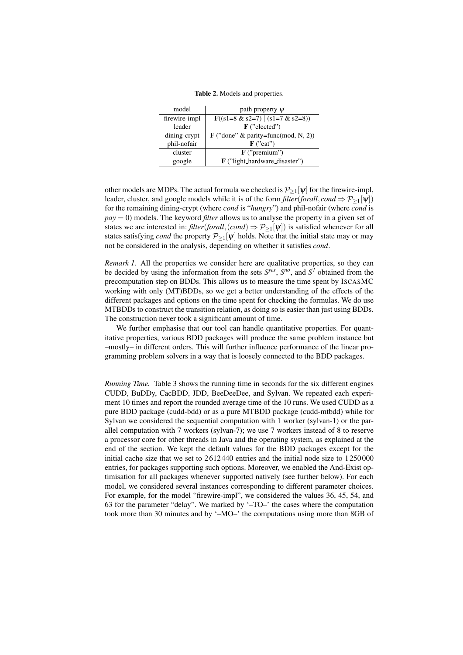| model         | path property $\psi$                           |  |  |  |  |
|---------------|------------------------------------------------|--|--|--|--|
| firewire-impl | $\mathbf{F}((s1=8 \& s2=7)   (s1=7 \& s2=8))$  |  |  |  |  |
| leader        | $\bf{F}$ ("elected")                           |  |  |  |  |
| dining-crypt  | $\mathbf{F}$ ("done" & parity=func(mod, N, 2)) |  |  |  |  |
| phil-nofair   | $\bf{F}$ ("eat")                               |  |  |  |  |
| cluster       | $\bf{F}$ ("premium")                           |  |  |  |  |
| google        | F ("light_hardware_disaster")                  |  |  |  |  |

Table 2. Models and properties.

other models are MDPs. The actual formula we checked is  $P_{\geq 1}[\psi]$  for the firewire-impl, leader, cluster, and google models while it is of the form *filter*(*forall*, *cond*  $\Rightarrow$   $P_{\geq1}[\psi]$ ) for the remaining dining-crypt (where *cond* is "*hungry*") and phil-nofair (where *cond* is *pay* = 0) models. The keyword *filter* allows us to analyse the property in a given set of states we are interested in: *filter*(*forall*, (*cond*)  $\Rightarrow$   $P_{\geq 1}[\psi]$ ) is satisfied whenever for all states satisfying *cond* the property  $P_{\geq 1}[\psi]$  holds. Note that the initial state may or may not be considered in the analysis, depending on whether it satisfies *cond*.

*Remark 1.* All the properties we consider here are qualitative properties, so they can be decided by using the information from the sets *S yes* , *S no*, and *S* ? obtained from the precomputation step on BDDs. This allows us to measure the time spent by ISCASMC working with only (MT)BDDs, so we get a better understanding of the effects of the different packages and options on the time spent for checking the formulas. We do use MTBDDs to construct the transition relation, as doing so is easier than just using BDDs. The construction never took a significant amount of time.

We further emphasise that our tool can handle quantitative properties. For quantitative properties, various BDD packages will produce the same problem instance but –mostly– in different orders. This will further influence performance of the linear programming problem solvers in a way that is loosely connected to the BDD packages.

*Running Time.* Table 3 shows the running time in seconds for the six different engines CUDD, BuDDy, CacBDD, JDD, BeeDeeDee, and Sylvan. We repeated each experiment 10 times and report the rounded average time of the 10 runs. We used CUDD as a pure BDD package (cudd-bdd) or as a pure MTBDD package (cudd-mtbdd) while for Sylvan we considered the sequential computation with 1 worker (sylvan-1) or the parallel computation with 7 workers (sylvan-7); we use 7 workers instead of 8 to reserve a processor core for other threads in Java and the operating system, as explained at the end of the section. We kept the default values for the BDD packages except for the initial cache size that we set to  $2612440$  entries and the initial node size to  $1250000$ entries, for packages supporting such options. Moreover, we enabled the And-Exist optimisation for all packages whenever supported natively (see further below). For each model, we considered several instances corresponding to different parameter choices. For example, for the model "firewire-impl", we considered the values 36, 45, 54, and 63 for the parameter "delay". We marked by '–TO–' the cases where the computation took more than 30 minutes and by '–MO–' the computations using more than 8GB of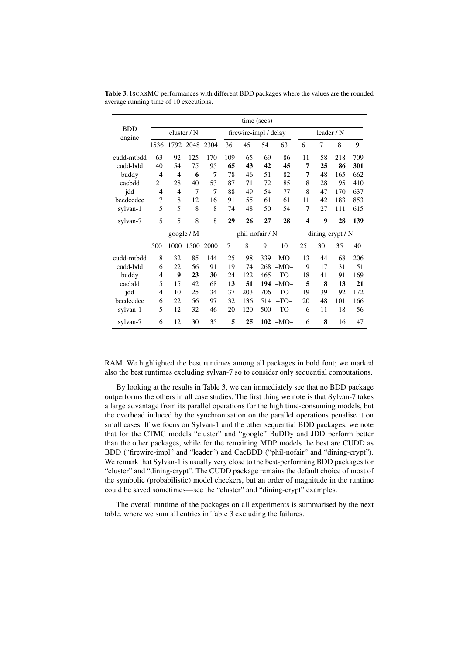|                      |                       |      |                |      |                 |                       | time (secs) |              |                  |            |     |     |  |
|----------------------|-----------------------|------|----------------|------|-----------------|-----------------------|-------------|--------------|------------------|------------|-----|-----|--|
| <b>BDD</b><br>engine | cluster $\frac{1}{N}$ |      |                |      |                 | firewire-impl / delay |             |              |                  | leader / N |     |     |  |
|                      | 1536                  | 1792 | 2048           | 2304 | 36              | 45                    | 54          | 63           | 6                | 7          | 8   | 9   |  |
| cudd-mtbdd           | 63                    | 92   | 125            | 170  | 109             | 65                    | 69          | 86           | 11               | 58         | 218 | 709 |  |
| cudd-bdd             | 40                    | 54   | 75             | 95   | 65              | 43                    | 42          | 45           | 7                | 25         | 86  | 301 |  |
| buddy                | 4                     | 4    | 6              | 7    | 78              | 46                    | 51          | 82           | 7                | 48         | 165 | 662 |  |
| cacbdd               | 21                    | 28   | 40             | 53   | 87              | 71                    | 72          | 85           | 8                | 28         | 95  | 410 |  |
| jdd                  | 4                     | 4    | $\overline{7}$ | 7    | 88              | 49                    | 54          | 77           | 8                | 47         | 170 | 637 |  |
| beedeedee            | 7                     | 8    | 12             | 16   | 91              | 55                    | 61          | 61           | 11               | 42         | 183 | 853 |  |
| sylvan-1             | 5                     | 5    | 8              | 8    | 74              | 48                    | 50          | 54           | 7                | 27         | 111 | 615 |  |
| sylvan-7             | 5                     | 5    | 8              | 8    | 29              | 26                    | 27          | 28           | 4                | 9          | 28  | 139 |  |
|                      | google / M            |      |                |      | phil-nofair / N |                       |             |              | dining-crypt / N |            |     |     |  |
|                      | 500                   | 1000 | 1500           | 2000 | $\tau$          | 8                     | 9           | 10           | 25               | 30         | 35  | 40  |  |
| cudd-mtbdd           | 8                     | 32   | 85             | 144  | 25              | 98                    |             | $339 - MO -$ | 13               | 44         | 68  | 206 |  |
| cudd-bdd             | 6                     | 22   | 56             | 91   | 19              | 74                    |             | $268 - MO-$  | 9                | 17         | 31  | 51  |  |
| buddy                | 4                     | 9    | 23             | 30   | 24              | 122                   | 465         | $-TO$ -      | 18               | 41         | 91  | 169 |  |
| cacbdd               | 5                     | 15   | 42             | 68   | 13              | 51                    |             | $194 - MO-$  | 5                | 8          | 13  | 21  |  |
| jdd                  | 4                     | 10   | 25             | 34   | 37              | 203                   | 706         | $-TO-$       | 19               | 39         | 92  | 172 |  |
| beedeedee            | 6                     | 22   | 56             | 97   | 32              | 136                   |             | $514 - TO-$  | 20               | 48         | 101 | 166 |  |
| sylvan-1             | 5                     | 12   | 32             | 46   | 20              | 120                   | 500         | $-TO-$       | 6                | 11         | 18  | 56  |  |
| sylvan-7             | 6                     | 12   | 30             | 35   | 5               | 25                    |             | $102 - MO-$  | 6                | 8          | 16  | 47  |  |

Table 3. ISCASMC performances with different BDD packages where the values are the rounded average running time of 10 executions.

RAM. We highlighted the best runtimes among all packages in bold font; we marked also the best runtimes excluding sylvan-7 so to consider only sequential computations.

By looking at the results in Table 3, we can immediately see that no BDD package outperforms the others in all case studies. The first thing we note is that Sylvan-7 takes a large advantage from its parallel operations for the high time-consuming models, but the overhead induced by the synchronisation on the parallel operations penalise it on small cases. If we focus on Sylvan-1 and the other sequential BDD packages, we note that for the CTMC models "cluster" and "google" BuDDy and JDD perform better than the other packages, while for the remaining MDP models the best are CUDD as BDD ("firewire-impl" and "leader") and CacBDD ("phil-nofair" and "dining-crypt"). We remark that Sylvan-1 is usually very close to the best-performing BDD packages for "cluster" and "dining-crypt". The CUDD package remains the default choice of most of the symbolic (probabilistic) model checkers, but an order of magnitude in the runtime could be saved sometimes—see the "cluster" and "dining-crypt" examples.

The overall runtime of the packages on all experiments is summarised by the next table, where we sum all entries in Table 3 excluding the failures.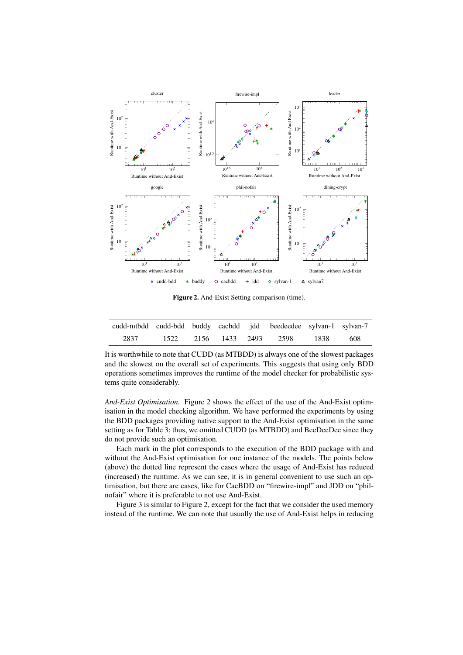

Figure 2. And-Exist Setting comparison (time).

| cudd-mtbdd cudd-bdd buddy cacbdd jdd beedeedee sylvan-1 sylvan-7 |  |  |                               |      |
|------------------------------------------------------------------|--|--|-------------------------------|------|
| 2837                                                             |  |  | 1522 2156 1433 2493 2598 1838 | -608 |

It is worthwhile to note that CUDD (as MTBDD) is always one of the slowest packages and the slowest on the overall set of experiments. This suggests that using only BDD operations sometimes improves the runtime of the model checker for probabilistic systems quite considerably.

*And-Exist Optimisation.* Figure 2 shows the effect of the use of the And-Exist optimisation in the model checking algorithm. We have performed the experiments by using the BDD packages providing native support to the And-Exist optimisation in the same setting as for Table 3; thus, we omitted CUDD (as MTBDD) and BeeDeeDee since they do not provide such an optimisation.

Each mark in the plot corresponds to the execution of the BDD package with and without the And-Exist optimisation for one instance of the models. The points below (above) the dotted line represent the cases where the usage of And-Exist has reduced (increased) the runtime. As we can see, it is in general convenient to use such an optimisation, but there are cases, like for CacBDD on "firewire-impl" and JDD on "philnofair" where it is preferable to not use And-Exist.

Figure 3 is similar to Figure 2, except for the fact that we consider the used memory instead of the runtime. We can note that usually the use of And-Exist helps in reducing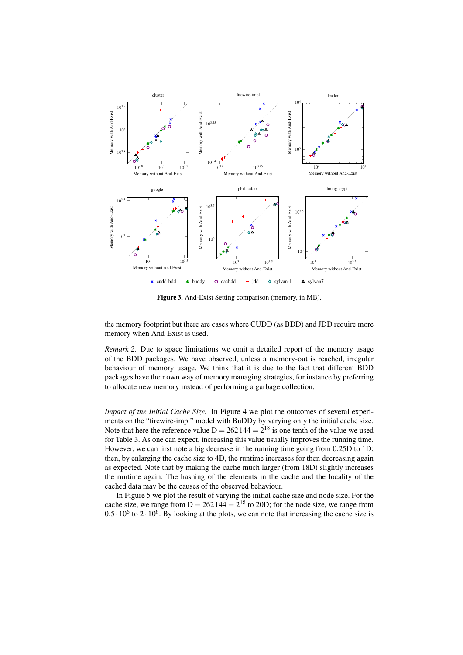

Figure 3. And-Exist Setting comparison (memory, in MB).

the memory footprint but there are cases where CUDD (as BDD) and JDD require more memory when And-Exist is used.

*Remark 2.* Due to space limitations we omit a detailed report of the memory usage of the BDD packages. We have observed, unless a memory-out is reached, irregular behaviour of memory usage. We think that it is due to the fact that different BDD packages have their own way of memory managing strategies, for instance by preferring to allocate new memory instead of performing a garbage collection.

*Impact of the Initial Cache Size.* In Figure 4 we plot the outcomes of several experiments on the "firewire-impl" model with BuDDy by varying only the initial cache size. Note that here the reference value  $D = 262144 = 2^{18}$  is one tenth of the value we used for Table 3. As one can expect, increasing this value usually improves the running time. However, we can first note a big decrease in the running time going from 0.25D to 1D; then, by enlarging the cache size to 4D, the runtime increases for then decreasing again as expected. Note that by making the cache much larger (from 18D) slightly increases the runtime again. The hashing of the elements in the cache and the locality of the cached data may be the causes of the observed behaviour.

In Figure 5 we plot the result of varying the initial cache size and node size. For the cache size, we range from  $D = 262144 = 2^{18}$  to 20D; for the node size, we range from  $0.5 \cdot 10^6$  to  $2 \cdot 10^6$ . By looking at the plots, we can note that increasing the cache size is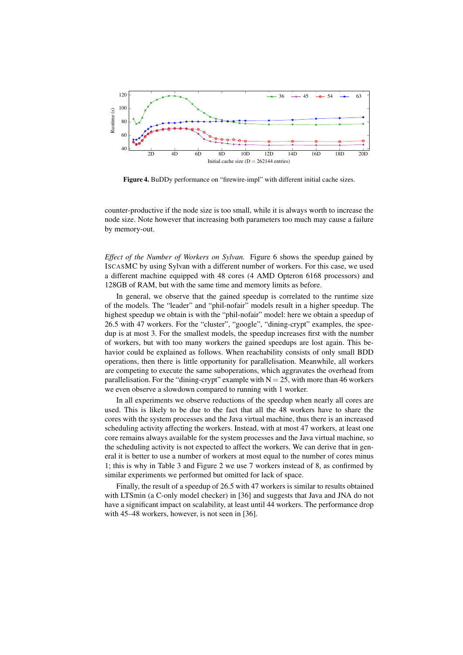

Figure 4. BuDDy performance on "firewire-impl" with different initial cache sizes.

counter-productive if the node size is too small, while it is always worth to increase the node size. Note however that increasing both parameters too much may cause a failure by memory-out.

*Effect of the Number of Workers on Sylvan.* Figure 6 shows the speedup gained by ISCASMC by using Sylvan with a different number of workers. For this case, we used a different machine equipped with 48 cores (4 AMD Opteron 6168 processors) and 128GB of RAM, but with the same time and memory limits as before.

In general, we observe that the gained speedup is correlated to the runtime size of the models. The "leader" and "phil-nofair" models result in a higher speedup. The highest speedup we obtain is with the "phil-nofair" model: here we obtain a speedup of 26.5 with 47 workers. For the "cluster", "google", "dining-crypt" examples, the speedup is at most 3. For the smallest models, the speedup increases first with the number of workers, but with too many workers the gained speedups are lost again. This behavior could be explained as follows. When reachability consists of only small BDD operations, then there is little opportunity for parallelisation. Meanwhile, all workers are competing to execute the same suboperations, which aggravates the overhead from parallelisation. For the "dining-crypt" example with  $N = 25$ , with more than 46 workers we even observe a slowdown compared to running with 1 worker.

In all experiments we observe reductions of the speedup when nearly all cores are used. This is likely to be due to the fact that all the 48 workers have to share the cores with the system processes and the Java virtual machine, thus there is an increased scheduling activity affecting the workers. Instead, with at most 47 workers, at least one core remains always available for the system processes and the Java virtual machine, so the scheduling activity is not expected to affect the workers. We can derive that in general it is better to use a number of workers at most equal to the number of cores minus 1; this is why in Table 3 and Figure 2 we use 7 workers instead of 8, as confirmed by similar experiments we performed but omitted for lack of space.

Finally, the result of a speedup of 26.5 with 47 workers is similar to results obtained with LTSmin (a C-only model checker) in [36] and suggests that Java and JNA do not have a significant impact on scalability, at least until 44 workers. The performance drop with 45–48 workers, however, is not seen in [36].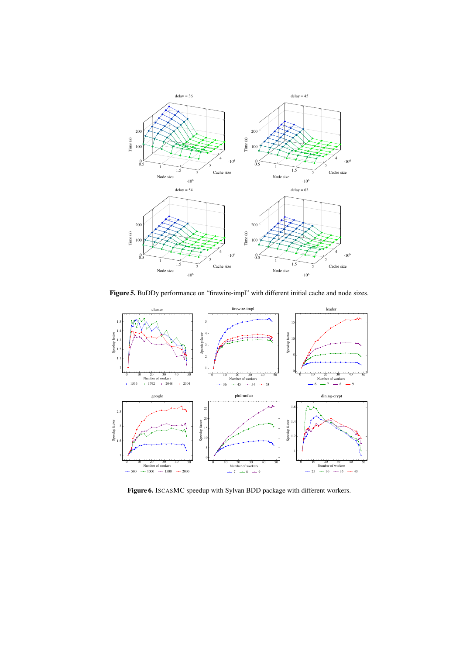

Figure 5. BuDDy performance on "firewire-impl" with different initial cache and node sizes.



Figure 6. ISCASMC speedup with Sylvan BDD package with different workers.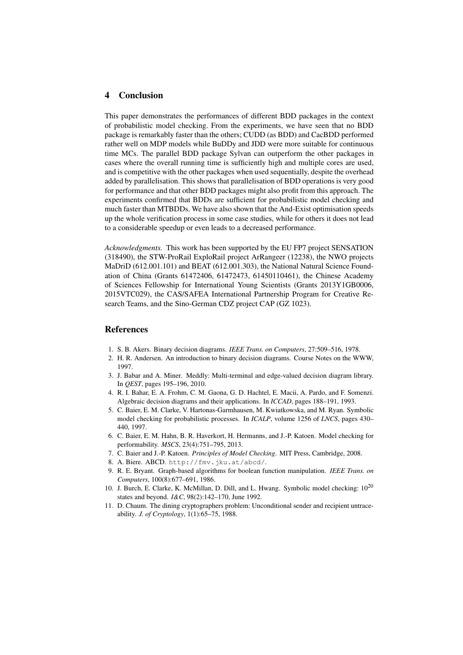## 4 Conclusion

This paper demonstrates the performances of different BDD packages in the context of probabilistic model checking. From the experiments, we have seen that no BDD package is remarkably faster than the others; CUDD (as BDD) and CacBDD performed rather well on MDP models while BuDDy and JDD were more suitable for continuous time MCs. The parallel BDD package Sylvan can outperform the other packages in cases where the overall running time is sufficiently high and multiple cores are used, and is competitive with the other packages when used sequentially, despite the overhead added by parallelisation. This shows that parallelisation of BDD operations is very good for performance and that other BDD packages might also profit from this approach. The experiments confirmed that BDDs are sufficient for probabilistic model checking and much faster than MTBDDs. We have also shown that the And-Exist optimisation speeds up the whole verification process in some case studies, while for others it does not lead to a considerable speedup or even leads to a decreased performance.

*Acknowledgments.* This work has been supported by the EU FP7 project SENSATION (318490), the STW-ProRail ExploRail project ArRangeer (12238), the NWO projects MaDriD (612.001.101) and BEAT (612.001.303), the National Natural Science Foundation of China (Grants 61472406, 61472473, 61450110461), the Chinese Academy of Sciences Fellowship for International Young Scientists (Grants 2013Y1GB0006, 2015VTC029), the CAS/SAFEA International Partnership Program for Creative Research Teams, and the Sino-German CDZ project CAP (GZ 1023).

## References

- 1. S. B. Akers. Binary decision diagrams. *IEEE Trans. on Computers*, 27:509–516, 1978.
- 2. H. R. Andersen. An introduction to binary decision diagrams. Course Notes on the WWW, 1997.
- 3. J. Babar and A. Miner. Meddly: Multi-terminal and edge-valued decision diagram library. In *QEST*, pages 195–196, 2010.
- 4. R. I. Bahar, E. A. Frohm, C. M. Gaona, G. D. Hachtel, E. Macii, A. Pardo, and F. Somenzi. Algebraic decision diagrams and their applications. In *ICCAD*, pages 188–191, 1993.
- 5. C. Baier, E. M. Clarke, V. Hartonas-Garmhausen, M. Kwiatkowska, and M. Ryan. Symbolic model checking for probabilistic processes. In *ICALP*, volume 1256 of *LNCS*, pages 430– 440, 1997.
- 6. C. Baier, E. M. Hahn, B. R. Haverkort, H. Hermanns, and J.-P. Katoen. Model checking for performability. *MSCS*, 23(4):751–795, 2013.
- 7. C. Baier and J.-P. Katoen. *Principles of Model Checking*. MIT Press, Cambridge, 2008.
- 8. A. Biere. ABCD. http://fmv.jku.at/abcd/.
- 9. R. E. Bryant. Graph-based algorithms for boolean function manipulation. *IEEE Trans. on Computers*, 100(8):677–691, 1986.
- 10. J. Burch, E. Clarke, K. McMillan, D. Dill, and L. Hwang. Symbolic model checking:  $10^{20}$ states and beyond. *I&C*, 98(2):142–170, June 1992.
- 11. D. Chaum. The dining cryptographers problem: Unconditional sender and recipient untraceability. *J. of Cryptology*, 1(1):65–75, 1988.